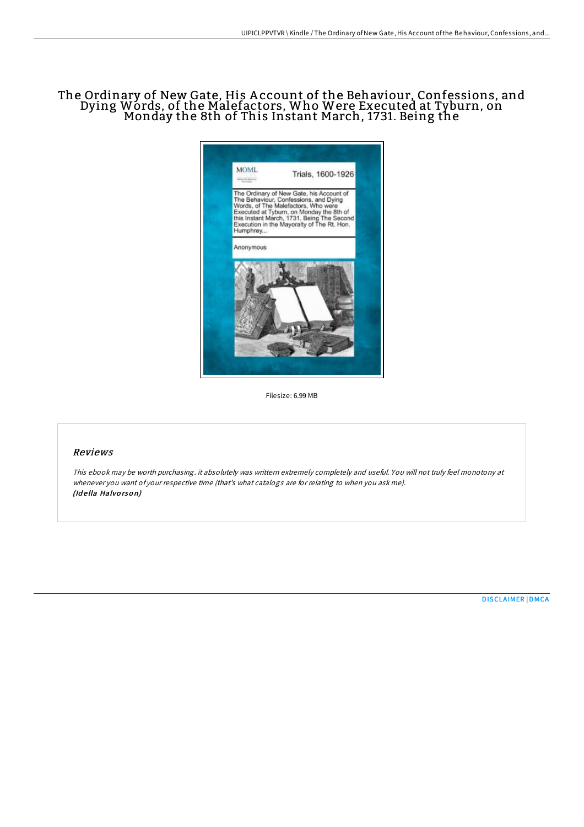# The Ordinary of New Gate, His A ccount of the Behaviour, Confessions, and Dying Words, of the Malefactors, Who Were Executed at Tyburn, on Monday the 8th of This Instant March, 1731. Being the



Filesize: 6.99 MB

### Reviews

This ebook may be worth purchasing. it absolutely was writtern extremely completely and useful. You will not truly feel monotony at whenever you want of your respective time (that's what catalogs are for relating to when you ask me). (Idella Halvorson)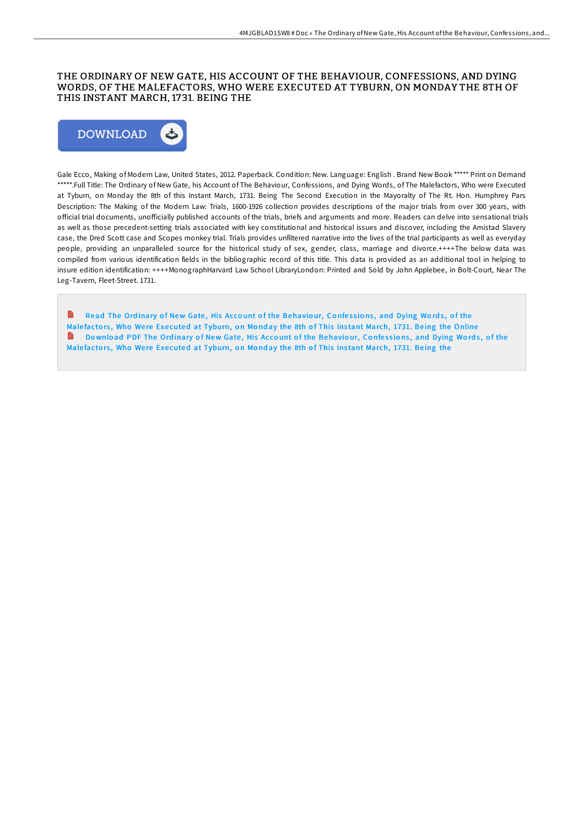### THE ORDINARY OF NEW GATE, HIS ACCOUNT OF THE BEHAVIOUR, CONFESSIONS, AND DYING WORDS, OF THE MALEFACTORS, WHO WERE EXECUTED AT TYBURN, ON MONDAY THE 8TH OF THIS INSTANT MARCH, 1731. BEING THE



Gale Ecco, Making of Modern Law, United States, 2012. Paperback. Condition: New. Language: English . Brand New Book \*\*\*\*\* Print on Demand \*\*\*\*\*.Full Title: The Ordinary of New Gate, his Account of The Behaviour, Confessions, and Dying Words, of The Malefactors, Who were Executed at Tyburn, on Monday the 8th of this Instant March, 1731. Being The Second Execution in the Mayoralty of The Rt. Hon. Humphrey Pars Description: The Making of the Modern Law: Trials, 1600-1926 collection provides descriptions of the major trials from over 300 years, with official trial documents, unofficially published accounts of the trials, briefs and arguments and more. Readers can delve into sensational trials as well as those precedent-setting trials associated with key constitutional and historical issues and discover, including the Amistad Slavery case, the Dred Scott case and Scopes monkey trial. Trials provides unfiltered narrative into the lives of the trial participants as well as everyday people, providing an unparalleled source for the historical study of sex, gender, class, marriage and divorce.++++The below data was compiled from various identification fields in the bibliographic record of this title. This data is provided as an additional tool in helping to insure edition identification: ++++MonographHarvard Law School LibraryLondon: Printed and Sold by John Applebee, in Bolt-Court, Near The Leg-Tavern, Fleet-Street. 1731.

 $\blacksquare$ Read The Ordinary of New Gate, His Account of the [Behavio](http://almighty24.tech/the-ordinary-of-new-gate-his-account-of-the-beha.html)ur, Confessions, and Dying Words, of the Malefactors, Who Were Executed at Tyburn, on Monday the 8th of This Instant March, 1731. Being the Online Download PDF The Ordinary of New Gate, His Account of the [Behavio](http://almighty24.tech/the-ordinary-of-new-gate-his-account-of-the-beha.html)ur, Confessions, and Dying Words, of the Malefactors, Who Were Executed at Tyburn, on Monday the 8th of This Instant March, 1731. Being the